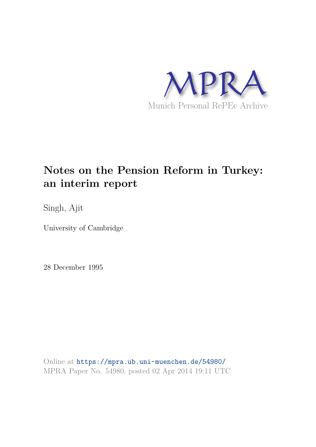

## **Notes on the Pension Reform in Turkey: an interim report**

Singh, Ajit

University of Cambridge

28 December 1995

Online at https://mpra.ub.uni-muenchen.de/54980/ MPRA Paper No. 54980, posted 02 Apr 2014 19:11 UTC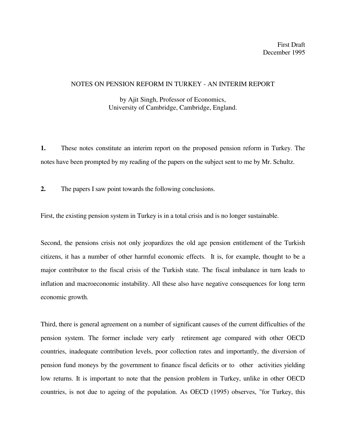## NOTES ON PENSION REFORM IN TURKEY - AN INTERIM REPORT

by Ajit Singh, Professor of Economics, University of Cambridge, Cambridge, England.

**1.** These notes constitute an interim report on the proposed pension reform in Turkey. The notes have been prompted by my reading of the papers on the subject sent to me by Mr. Schultz.

**2.** The papers I saw point towards the following conclusions.

First, the existing pension system in Turkey is in a total crisis and is no longer sustainable.

Second, the pensions crisis not only jeopardizes the old age pension entitlement of the Turkish citizens, it has a number of other harmful economic effects. It is, for example, thought to be a major contributor to the fiscal crisis of the Turkish state. The fiscal imbalance in turn leads to inflation and macroeconomic instability. All these also have negative consequences for long term economic growth.

Third, there is general agreement on a number of significant causes of the current difficulties of the pension system. The former include very early retirement age compared with other OECD countries, inadequate contribution levels, poor collection rates and importantly, the diversion of pension fund moneys by the government to finance fiscal deficits or to other activities yielding low returns. It is important to note that the pension problem in Turkey, unlike in other OECD countries, is not due to ageing of the population. As OECD (1995) observes, "for Turkey, this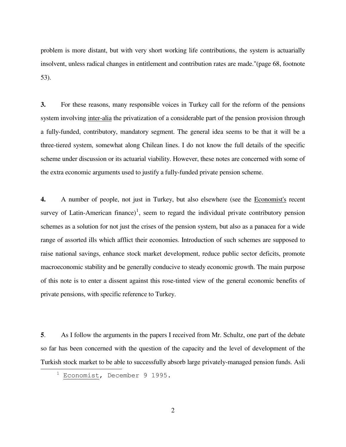problem is more distant, but with very short working life contributions, the system is actuarially insolvent, unless radical changes in entitlement and contribution rates are made."(page 68, footnote 53).

**3.** For these reasons, many responsible voices in Turkey call for the reform of the pensions system involving inter-alia the privatization of a considerable part of the pension provision through a fully-funded, contributory, mandatory segment. The general idea seems to be that it will be a three-tiered system, somewhat along Chilean lines. I do not know the full details of the specific scheme under discussion or its actuarial viability. However, these notes are concerned with some of the extra economic arguments used to justify a fully-funded private pension scheme.

**4.** A number of people, not just in Turkey, but also elsewhere (see the Economist's recent survey of Latin-American finance)<sup>1</sup>, seem to regard the individual private contributory pension schemes as a solution for not just the crises of the pension system, but also as a panacea for a wide range of assorted ills which afflict their economies. Introduction of such schemes are supposed to raise national savings, enhance stock market development, reduce public sector deficits, promote macroeconomic stability and be generally conducive to steady economic growth. The main purpose of this note is to enter a dissent against this rose-tinted view of the general economic benefits of private pensions, with specific reference to Turkey.

**5**. As I follow the arguments in the papers I received from Mr. Schultz, one part of the debate so far has been concerned with the question of the capacity and the level of development of the Turkish stock market to be able to successfully absorb large privately-managed pension funds. Asli 

Economist, December 9 1995.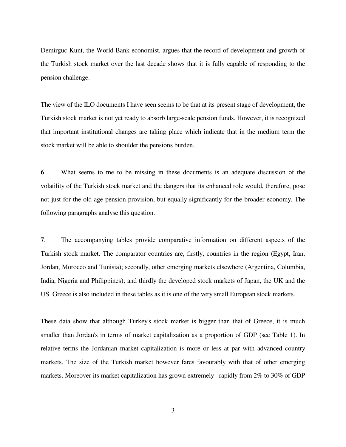Demirguc-Kunt, the World Bank economist, argues that the record of development and growth of the Turkish stock market over the last decade shows that it is fully capable of responding to the pension challenge.

The view of the ILO documents I have seen seems to be that at its present stage of development, the Turkish stock market is not yet ready to absorb large-scale pension funds. However, it is recognized that important institutional changes are taking place which indicate that in the medium term the stock market will be able to shoulder the pensions burden.

**6**. What seems to me to be missing in these documents is an adequate discussion of the volatility of the Turkish stock market and the dangers that its enhanced role would, therefore, pose not just for the old age pension provision, but equally significantly for the broader economy. The following paragraphs analyse this question.

**7**. The accompanying tables provide comparative information on different aspects of the Turkish stock market. The comparator countries are, firstly, countries in the region (Egypt, Iran, Jordan, Morocco and Tunisia); secondly, other emerging markets elsewhere (Argentina, Columbia, India, Nigeria and Philippines); and thirdly the developed stock markets of Japan, the UK and the US. Greece is also included in these tables as it is one of the very small European stock markets.

These data show that although Turkey's stock market is bigger than that of Greece, it is much smaller than Jordan's in terms of market capitalization as a proportion of GDP (see Table 1). In relative terms the Jordanian market capitalization is more or less at par with advanced country markets. The size of the Turkish market however fares favourably with that of other emerging markets. Moreover its market capitalization has grown extremely rapidly from 2% to 30% of GDP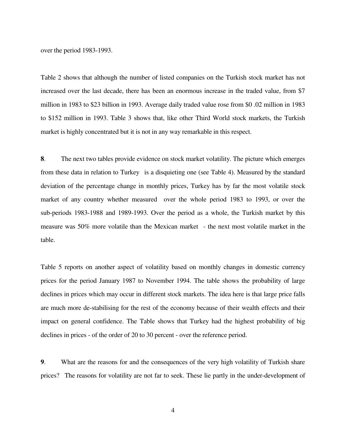over the period 1983-1993.

Table 2 shows that although the number of listed companies on the Turkish stock market has not increased over the last decade, there has been an enormous increase in the traded value, from \$7 million in 1983 to \$23 billion in 1993. Average daily traded value rose from \$0 .02 million in 1983 to \$152 million in 1993. Table 3 shows that, like other Third World stock markets, the Turkish market is highly concentrated but it is not in any way remarkable in this respect.

**8**. The next two tables provide evidence on stock market volatility. The picture which emerges from these data in relation to Turkey is a disquieting one (see Table 4). Measured by the standard deviation of the percentage change in monthly prices, Turkey has by far the most volatile stock market of any country whether measured over the whole period 1983 to 1993, or over the sub-periods 1983-1988 and 1989-1993. Over the period as a whole, the Turkish market by this measure was 50% more volatile than the Mexican market - the next most volatile market in the table.

Table 5 reports on another aspect of volatility based on monthly changes in domestic currency prices for the period January 1987 to November 1994. The table shows the probability of large declines in prices which may occur in different stock markets. The idea here is that large price falls are much more de-stabilising for the rest of the economy because of their wealth effects and their impact on general confidence. The Table shows that Turkey had the highest probability of big declines in prices - of the order of 20 to 30 percent - over the reference period.

**9**. What are the reasons for and the consequences of the very high volatility of Turkish share prices? The reasons for volatility are not far to seek. These lie partly in the under-development of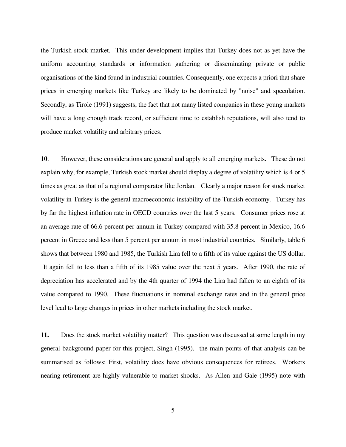the Turkish stock market. This under-development implies that Turkey does not as yet have the uniform accounting standards or information gathering or disseminating private or public organisations of the kind found in industrial countries. Consequently, one expects a priori that share prices in emerging markets like Turkey are likely to be dominated by "noise" and speculation. Secondly, as Tirole (1991) suggests, the fact that not many listed companies in these young markets will have a long enough track record, or sufficient time to establish reputations, will also tend to produce market volatility and arbitrary prices.

**10**. However, these considerations are general and apply to all emerging markets. These do not explain why, for example, Turkish stock market should display a degree of volatility which is 4 or 5 times as great as that of a regional comparator like Jordan. Clearly a major reason for stock market volatility in Turkey is the general macroeconomic instability of the Turkish economy. Turkey has by far the highest inflation rate in OECD countries over the last 5 years. Consumer prices rose at an average rate of 66.6 percent per annum in Turkey compared with 35.8 percent in Mexico, 16.6 percent in Greece and less than 5 percent per annum in most industrial countries. Similarly, table 6 shows that between 1980 and 1985, the Turkish Lira fell to a fifth of its value against the US dollar. It again fell to less than a fifth of its 1985 value over the next 5 years. After 1990, the rate of depreciation has accelerated and by the 4th quarter of 1994 the Lira had fallen to an eighth of its value compared to 1990. These fluctuations in nominal exchange rates and in the general price level lead to large changes in prices in other markets including the stock market.

**11.** Does the stock market volatility matter? This question was discussed at some length in my general background paper for this project, Singh (1995). the main points of that analysis can be summarised as follows: First, volatility does have obvious consequences for retirees. Workers nearing retirement are highly vulnerable to market shocks. As Allen and Gale (1995) note with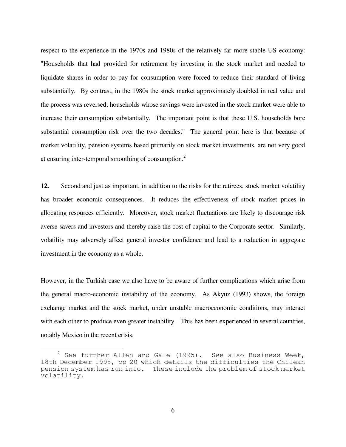respect to the experience in the 1970s and 1980s of the relatively far more stable US economy: "Households that had provided for retirement by investing in the stock market and needed to liquidate shares in order to pay for consumption were forced to reduce their standard of living substantially. By contrast, in the 1980s the stock market approximately doubled in real value and the process was reversed; households whose savings were invested in the stock market were able to increase their consumption substantially. The important point is that these U.S. households bore substantial consumption risk over the two decades." The general point here is that because of market volatility, pension systems based primarily on stock market investments, are not very good at ensuring inter-temporal smoothing of consumption.<sup>2</sup>

**12.** Second and just as important, in addition to the risks for the retirees, stock market volatility has broader economic consequences. It reduces the effectiveness of stock market prices in allocating resources efficiently. Moreover, stock market fluctuations are likely to discourage risk averse savers and investors and thereby raise the cost of capital to the Corporate sector. Similarly, volatility may adversely affect general investor confidence and lead to a reduction in aggregate investment in the economy as a whole.

However, in the Turkish case we also have to be aware of further complications which arise from the general macro-economic instability of the economy. As Akyuz (1993) shows, the foreign exchange market and the stock market, under unstable macroeconomic conditions, may interact with each other to produce even greater instability. This has been experienced in several countries, notably Mexico in the recent crisis.

6

 $2$  See further Allen and Gale (1995). See also Business Week, 18th December 1995, pp 20 which details the difficulties the Chilean pension system has run into. These include the problem of stock market volatility.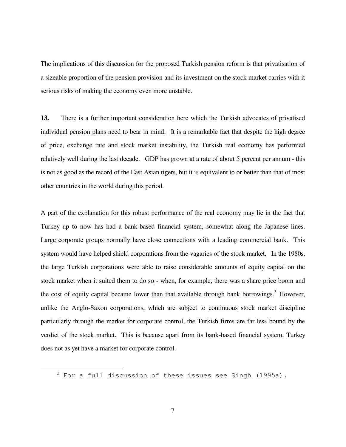The implications of this discussion for the proposed Turkish pension reform is that privatisation of a sizeable proportion of the pension provision and its investment on the stock market carries with it serious risks of making the economy even more unstable.

**13.** There is a further important consideration here which the Turkish advocates of privatised individual pension plans need to bear in mind. It is a remarkable fact that despite the high degree of price, exchange rate and stock market instability, the Turkish real economy has performed relatively well during the last decade. GDP has grown at a rate of about 5 percent per annum - this is not as good as the record of the East Asian tigers, but it is equivalent to or better than that of most other countries in the world during this period.

A part of the explanation for this robust performance of the real economy may lie in the fact that Turkey up to now has had a bank-based financial system, somewhat along the Japanese lines. Large corporate groups normally have close connections with a leading commercial bank. This system would have helped shield corporations from the vagaries of the stock market. In the 1980s, the large Turkish corporations were able to raise considerable amounts of equity capital on the stock market when it suited them to do so - when, for example, there was a share price boom and the cost of equity capital became lower than that available through bank borrowings.<sup>3</sup> However, unlike the Anglo-Saxon corporations, which are subject to continuous stock market discipline particularly through the market for corporate control, the Turkish firms are far less bound by the verdict of the stock market. This is because apart from its bank-based financial system, Turkey does not as yet have a market for corporate control.

 $3$  For a full discussion of these issues see Singh (1995a).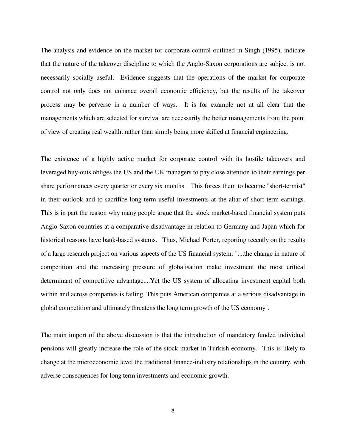The analysis and evidence on the market for corporate control outlined in Singh (1995), indicate that the nature of the takeover discipline to which the Anglo-Saxon corporations are subject is not necessarily socially useful. Evidence suggests that the operations of the market for corporate control not only does not enhance overall economic efficiency, but the results of the takeover process may be perverse in a number of ways. It is for example not at all clear that the managements which are selected for survival are necessarily the better managements from the point of view of creating real wealth, rather than simply being more skilled at financial engineering.

The existence of a highly active market for corporate control with its hostile takeovers and leveraged buy-outs obliges the US and the UK managers to pay close attention to their earnings per share performances every quarter or every six months. This forces them to become "short-termist" in their outlook and to sacrifice long term useful investments at the altar of short term earnings. This is in part the reason why many people argue that the stock market-based financial system puts Anglo-Saxon countries at a comparative disadvantage in relation to Germany and Japan which for historical reasons have bank-based systems. Thus, Michael Porter, reporting recently on the results of a large research project on various aspects of the US financial system: "....the change in nature of competition and the increasing pressure of globalisation make investment the most critical determinant of competitive advantage....Yet the US system of allocating investment capital both within and across companies is failing. This puts American companies at a serious disadvantage in global competition and ultimately threatens the long term growth of the US economy".

The main import of the above discussion is that the introduction of mandatory funded individual pensions will greatly increase the role of the stock market in Turkish economy. This is likely to change at the microeconomic level the traditional finance-industry relationships in the country, with adverse consequences for long term investments and economic growth.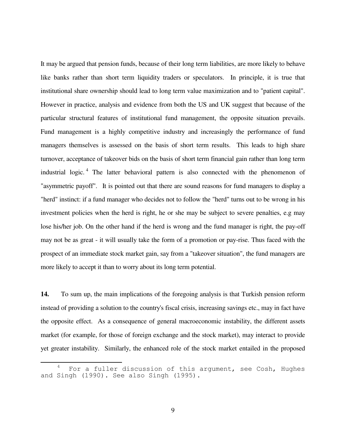It may be argued that pension funds, because of their long term liabilities, are more likely to behave like banks rather than short term liquidity traders or speculators. In principle, it is true that institutional share ownership should lead to long term value maximization and to "patient capital". However in practice, analysis and evidence from both the US and UK suggest that because of the particular structural features of institutional fund management, the opposite situation prevails. Fund management is a highly competitive industry and increasingly the performance of fund managers themselves is assessed on the basis of short term results. This leads to high share turnover, acceptance of takeover bids on the basis of short term financial gain rather than long term industrial logic.<sup>4</sup> The latter behavioral pattern is also connected with the phenomenon of "asymmetric payoff". It is pointed out that there are sound reasons for fund managers to display a "herd" instinct: if a fund manager who decides not to follow the "herd" turns out to be wrong in his investment policies when the herd is right, he or she may be subject to severe penalties, e.g may lose his/her job. On the other hand if the herd is wrong and the fund manager is right, the pay-off may not be as great - it will usually take the form of a promotion or pay-rise. Thus faced with the prospect of an immediate stock market gain, say from a "takeover situation", the fund managers are more likely to accept it than to worry about its long term potential.

**14.** To sum up, the main implications of the foregoing analysis is that Turkish pension reform instead of providing a solution to the country's fiscal crisis, increasing savings etc., may in fact have the opposite effect. As a consequence of general macroeconomic instability, the different assets market (for example, for those of foreign exchange and the stock market), may interact to provide yet greater instability. Similarly, the enhanced role of the stock market entailed in the proposed

For a fuller discussion of this argument, see Cosh, Hughes and Singh (1990). See also Singh (1995).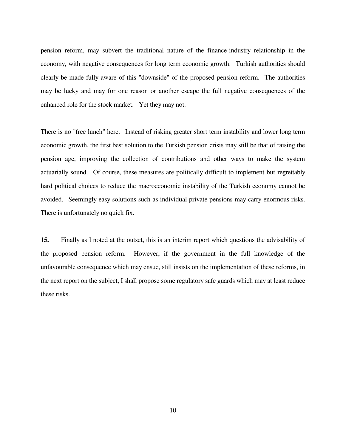pension reform, may subvert the traditional nature of the finance-industry relationship in the economy, with negative consequences for long term economic growth. Turkish authorities should clearly be made fully aware of this "downside" of the proposed pension reform. The authorities may be lucky and may for one reason or another escape the full negative consequences of the enhanced role for the stock market. Yet they may not.

There is no "free lunch" here. Instead of risking greater short term instability and lower long term economic growth, the first best solution to the Turkish pension crisis may still be that of raising the pension age, improving the collection of contributions and other ways to make the system actuarially sound. Of course, these measures are politically difficult to implement but regrettably hard political choices to reduce the macroeconomic instability of the Turkish economy cannot be avoided. Seemingly easy solutions such as individual private pensions may carry enormous risks. There is unfortunately no quick fix.

**15.** Finally as I noted at the outset, this is an interim report which questions the advisability of the proposed pension reform. However, if the government in the full knowledge of the unfavourable consequence which may ensue, still insists on the implementation of these reforms, in the next report on the subject, I shall propose some regulatory safe guards which may at least reduce these risks.